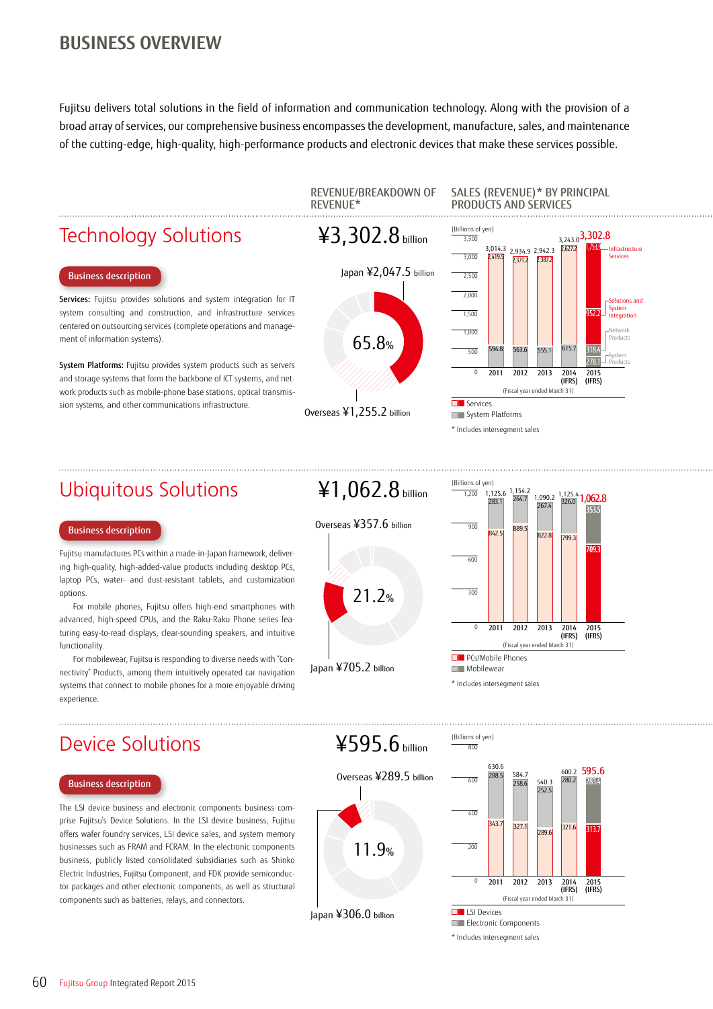## **BUSINESS OVERVIEW**

Fujitsu delivers total solutions in the field of information and communication technology. Along with the provision of a broad array of services, our comprehensive business encompasses the development, manufacture, sales, and maintenance of the cutting-edge, high-quality, high-performance products and electronic devices that make these services possible.

## Technology Solutions

### Business description

Services: Fujitsu provides solutions and system integration for IT system consulting and construction, and infrastructure services centered on outsourcing services (complete operations and management of information systems).

System Platforms: Fujitsu provides system products such as servers and storage systems that form the backbone of ICT systems, and network products such as mobile-phone base stations, optical transmission systems, and other communications infrastructure.







### SALES (REVENUE)\* BY PRINCIPAL PRODUCTS AND SERVICES



Ubiquitous Solutions

### Business description

Fujitsu manufactures PCs within a made-in-Japan framework, delivering high-quality, high-added-value products including desktop PCs, laptop PCs, water- and dust-resistant tablets, and customization options.

For mobile phones, Fujitsu offers high-end smartphones with advanced, high-speed CPUs, and the Raku-Raku Phone series featuring easy-to-read displays, clear-sounding speakers, and intuitive functionality.

For mobilewear, Fujitsu is responding to diverse needs with "Connectivity" Products, among them intuitively operated car navigation systems that connect to mobile phones for a more enjoyable driving experience.

# ¥1,062.8 billion



Japan ¥705.2 billion



\* Includes intersegment sales

## Device Solutions

### Business description

The LSI device business and electronic components business comprise Fujitsu's Device Solutions. In the LSI device business, Fujitsu offers wafer foundry services, LSI device sales, and system memory businesses such as FRAM and FCRAM. In the electronic components business, publicly listed consolidated subsidiaries such as Shinko Electric Industries, Fujitsu Component, and FDK provide semiconductor packages and other electronic components, as well as structural components such as batteries, relays, and connectors.

¥595.6 billion





Japan ¥306.0 billion



\* Includes intersegment sales

60 Fujitsu Group Integrated Report 2015